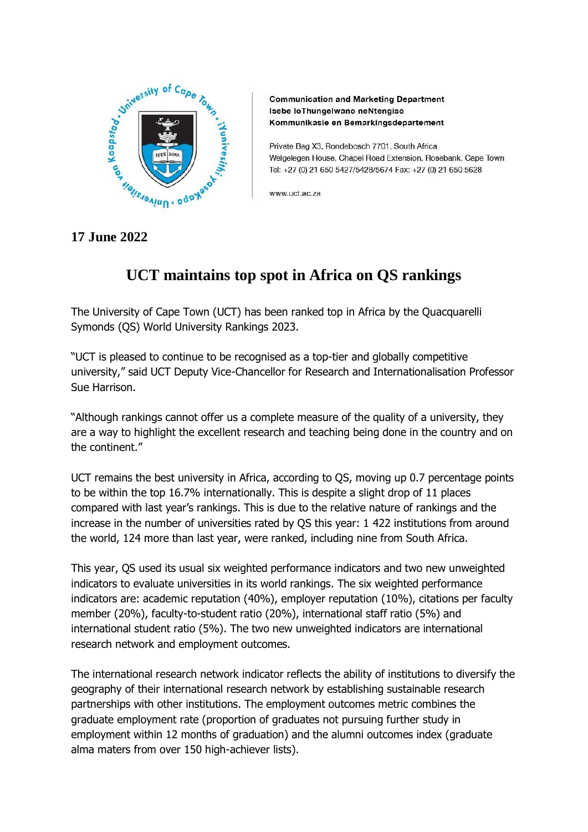

**Communication and Marketing Department** Isebe loThungelwano neNtengiso Kommunikasie en Bemarkingsdepartement

Private Bag X3, Rondebosch 7701, South Africa Welgelegen House, Chapel Road Extension, Rosebank, Cape Town Tel: +27 (0) 21 650 5427/5428/5674 Fax: +27 (0) 21 650 5628

www.uct.ac.za

## **17 June 2022**

## **UCT maintains top spot in Africa on QS rankings**

The University of Cape Town (UCT) has been ranked top in Africa by the Quacquarelli Symonds (QS) World University Rankings 2023.

"UCT is pleased to continue to be recognised as a top-tier and globally competitive university," said UCT Deputy Vice-Chancellor for Research and Internationalisation Professor Sue Harrison.

"Although rankings cannot offer us a complete measure of the quality of a university, they are a way to highlight the excellent research and teaching being done in the country and on the continent."

UCT remains the best university in Africa, according to QS, moving up 0.7 percentage points to be within the top 16.7% internationally. This is despite a slight drop of 11 places compared with last year's rankings. This is due to the relative nature of rankings and the increase in the number of universities rated by QS this year: 1 422 institutions from around the world, 124 more than last year, were ranked, including nine from South Africa.

This year, QS used its usual six weighted performance indicators and two new unweighted indicators to evaluate universities in its world rankings. The six weighted performance indicators are: academic reputation (40%), employer reputation (10%), citations per faculty member (20%), faculty-to-student ratio (20%), international staff ratio (5%) and international student ratio (5%). The two new unweighted indicators are international research network and employment outcomes.

The international research network indicator reflects the ability of institutions to diversify the geography of their international research network by establishing sustainable research partnerships with other institutions. The employment outcomes metric combines the graduate employment rate (proportion of graduates not pursuing further study in employment within 12 months of graduation) and the alumni outcomes index (graduate alma maters from over 150 high-achiever lists).